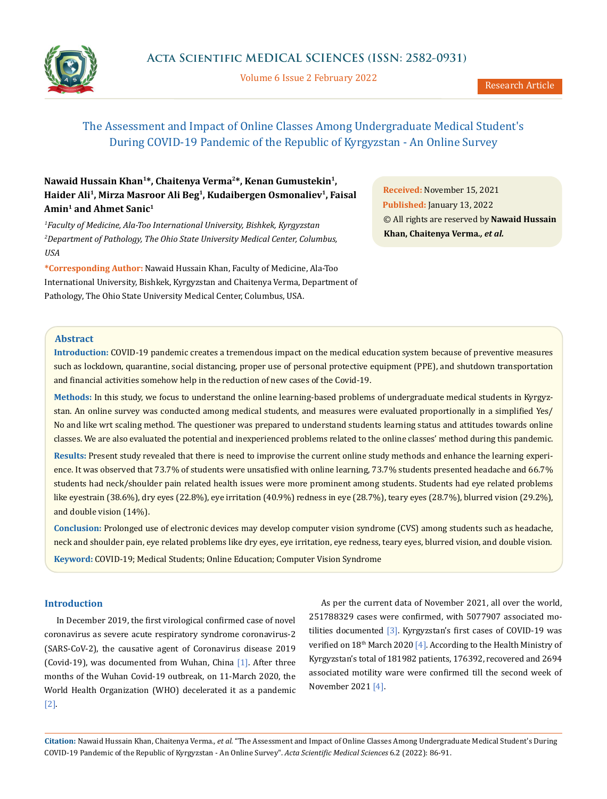

Volume 6 Issue 2 February 2022

# The Assessment and Impact of Online Classes Among Undergraduate Medical Student's During COVID-19 Pandemic of the Republic of Kyrgyzstan - An Online Survey

# **Nawaid Hussain Khan1\*, Chaitenya Verma2\*, Kenan Gumustekin1,**  Haider Ali<sup>1</sup>, Mirza Masroor Ali Beg<sup>1</sup>, Kudaibergen Osmonaliev<sup>1</sup>, Faisal **Amin1 and Ahmet Sanic1**

*1 Faculty of Medicine, Ala-Too International University, Bishkek, Kyrgyzstan 2 Department of Pathology, The Ohio State University Medical Center, Columbus, USA*

**\*Corresponding Author:** Nawaid Hussain Khan, Faculty of Medicine, Ala-Too International University, Bishkek, Kyrgyzstan and Chaitenya Verma, Department of Pathology, The Ohio State University Medical Center, Columbus, USA.

**Received:** November 15, 2021 **Published:** January 13, 2022 © All rights are reserved by **Nawaid Hussain Khan, Chaitenya Verma***., et al.*

## **Abstract**

**Introduction:** COVID-19 pandemic creates a tremendous impact on the medical education system because of preventive measures such as lockdown, quarantine, social distancing, proper use of personal protective equipment (PPE), and shutdown transportation and financial activities somehow help in the reduction of new cases of the Covid-19.

**Methods:** In this study, we focus to understand the online learning-based problems of undergraduate medical students in Kyrgyzstan. An online survey was conducted among medical students, and measures were evaluated proportionally in a simplified Yes/ No and like wrt scaling method. The questioner was prepared to understand students learning status and attitudes towards online classes. We are also evaluated the potential and inexperienced problems related to the online classes' method during this pandemic.

**Results:** Present study revealed that there is need to improvise the current online study methods and enhance the learning experience. It was observed that 73.7% of students were unsatisfied with online learning, 73.7% students presented headache and 66.7% students had neck/shoulder pain related health issues were more prominent among students. Students had eye related problems like eyestrain (38.6%), dry eyes (22.8%), eye irritation (40.9%) redness in eye (28.7%), teary eyes (28.7%), blurred vision (29.2%), and double vision (14%).

**Conclusion:** Prolonged use of electronic devices may develop computer vision syndrome (CVS) among students such as headache, neck and shoulder pain, eye related problems like dry eyes, eye irritation, eye redness, teary eyes, blurred vision, and double vision. **Keyword:** COVID-19; Medical Students; Online Education; Computer Vision Syndrome

## **Introduction**

In December 2019, the first virological confirmed case of novel coronavirus as severe acute respiratory syndrome coronavirus-2 (SARS-CoV-2), the causative agent of Coronavirus disease 2019 (Covid-19), was documented from Wuhan, China [1]. After three months of the Wuhan Covid-19 outbreak, on 11-March 2020, the World Health Organization (WHO) decelerated it as a pandemic [2].

As per the current data of November 2021, all over the world, 251788329 cases were confirmed, with 5077907 associated motilities documented [3]. Kyrgyzstan's first cases of COVID-19 was verified on 18<sup>th</sup> March 2020 [4]. According to the Health Ministry of Kyrgyzstan's total of 181982 patients, 176392, recovered and 2694 associated motility ware were confirmed till the second week of November 2021 [4].

**Citation:** Nawaid Hussain Khan, Chaitenya Verma*., et al.* "The Assessment and Impact of Online Classes Among Undergraduate Medical Student's During COVID-19 Pandemic of the Republic of Kyrgyzstan - An Online Survey". *Acta Scientific Medical Sciences* 6.2 (2022): 86-91.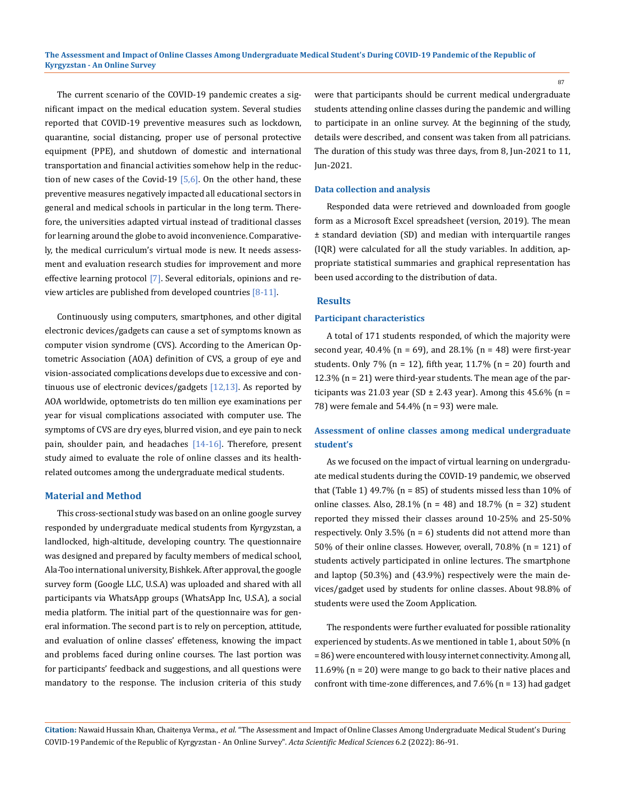The current scenario of the COVID-19 pandemic creates a significant impact on the medical education system. Several studies reported that COVID-19 preventive measures such as lockdown, quarantine, social distancing, proper use of personal protective equipment (PPE), and shutdown of domestic and international transportation and financial activities somehow help in the reduction of new cases of the Covid-19  $[5,6]$ . On the other hand, these preventive measures negatively impacted all educational sectors in general and medical schools in particular in the long term. Therefore, the universities adapted virtual instead of traditional classes for learning around the globe to avoid inconvenience. Comparatively, the medical curriculum's virtual mode is new. It needs assessment and evaluation research studies for improvement and more effective learning protocol [7]. Several editorials, opinions and review articles are published from developed countries  $[8-11]$ .

Continuously using computers, smartphones, and other digital electronic devices/gadgets can cause a set of symptoms known as computer vision syndrome (CVS). According to the American Optometric Association (AOA) definition of CVS, a group of eye and vision-associated complications develops due to excessive and continuous use of electronic devices/gadgets [12,13]. As reported by AOA worldwide, optometrists do ten million eye examinations per year for visual complications associated with computer use. The symptoms of CVS are dry eyes, blurred vision, and eye pain to neck pain, shoulder pain, and headaches [14-16]. Therefore, present study aimed to evaluate the role of online classes and its healthrelated outcomes among the undergraduate medical students.

#### **Material and Method**

This cross-sectional study was based on an online google survey responded by undergraduate medical students from Kyrgyzstan, a landlocked, high-altitude, developing country. The questionnaire was designed and prepared by faculty members of medical school, Ala-Too international university, Bishkek. After approval, the google survey form (Google LLC, U.S.A) was uploaded and shared with all participants via WhatsApp groups (WhatsApp Inc, U.S.A), a social media platform. The initial part of the questionnaire was for general information. The second part is to rely on perception, attitude, and evaluation of online classes' effeteness, knowing the impact and problems faced during online courses. The last portion was for participants' feedback and suggestions, and all questions were mandatory to the response. The inclusion criteria of this study were that participants should be current medical undergraduate students attending online classes during the pandemic and willing to participate in an online survey. At the beginning of the study, details were described, and consent was taken from all patricians. The duration of this study was three days, from 8, Jun-2021 to 11, Jun-2021.

#### **Data collection and analysis**

Responded data were retrieved and downloaded from google form as a Microsoft Excel spreadsheet (version, 2019). The mean ± standard deviation (SD) and median with interquartile ranges (IQR) were calculated for all the study variables. In addition, appropriate statistical summaries and graphical representation has been used according to the distribution of data.

#### **Results**

#### **Participant characteristics**

A total of 171 students responded, of which the majority were second year, 40.4% ( $n = 69$ ), and 28.1% ( $n = 48$ ) were first-year students. Only 7% ( $n = 12$ ), fifth year, 11.7% ( $n = 20$ ) fourth and 12.3% (n = 21) were third-year students. The mean age of the participants was 21.03 year (SD  $\pm$  2.43 year). Among this 45.6% (n = 78) were female and 54.4% (n = 93) were male.

# **Assessment of online classes among medical undergraduate student's**

As we focused on the impact of virtual learning on undergraduate medical students during the COVID-19 pandemic, we observed that (Table 1) 49.7% ( $n = 85$ ) of students missed less than 10% of online classes. Also,  $28.1\%$  (n = 48) and  $18.7\%$  (n = 32) student reported they missed their classes around 10-25% and 25-50% respectively. Only 3.5% (n = 6) students did not attend more than 50% of their online classes. However, overall, 70.8% (n = 121) of students actively participated in online lectures. The smartphone and laptop (50.3%) and (43.9%) respectively were the main devices/gadget used by students for online classes. About 98.8% of students were used the Zoom Application.

The respondents were further evaluated for possible rationality experienced by students. As we mentioned in table 1, about 50% (n = 86) were encountered with lousy internet connectivity. Among all, 11.69% (n = 20) were mange to go back to their native places and confront with time-zone differences, and  $7.6\%$  (n = 13) had gadget

**Citation:** Nawaid Hussain Khan, Chaitenya Verma*., et al.* "The Assessment and Impact of Online Classes Among Undergraduate Medical Student's During COVID-19 Pandemic of the Republic of Kyrgyzstan - An Online Survey". *Acta Scientific Medical Sciences* 6.2 (2022): 86-91.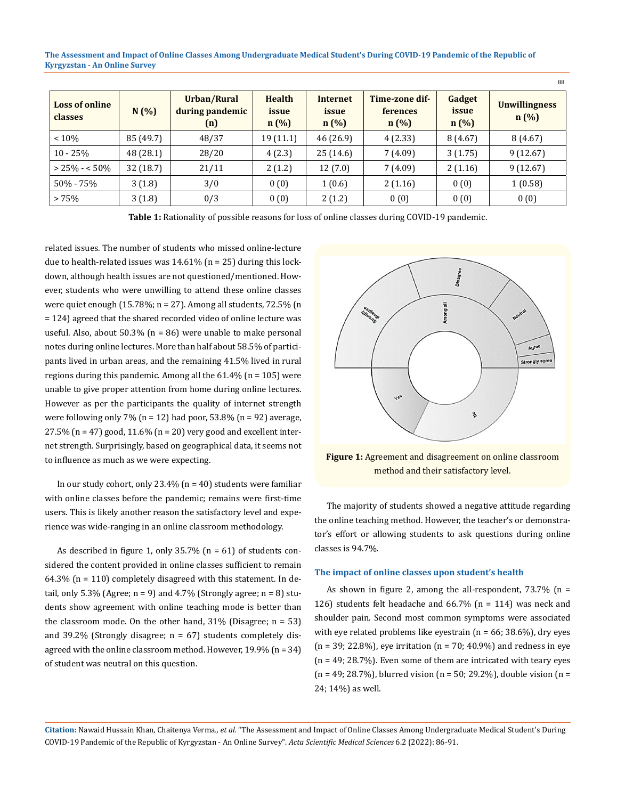**The Assessment and Impact of Online Classes Among Undergraduate Medical Student's During COVID-19 Pandemic of the Republic of Kyrgyzstan - An Online Survey**

| <b>Loss of online</b><br>classes | N(%)      | Urban/Rural<br>during pandemic<br>(n) | <b>Health</b><br>issue<br>n(%) | <b>Internet</b><br>issue<br>n(%) | Time-zone dif-<br><b>ferences</b><br>n(%) | Gadget<br>issue<br>n(%) | <b>Unwillingness</b><br>n(%) |
|----------------------------------|-----------|---------------------------------------|--------------------------------|----------------------------------|-------------------------------------------|-------------------------|------------------------------|
| < 10%                            | 85 (49.7) | 48/37                                 | 19 (11.1)                      | 46 (26.9)                        | 4(2.33)                                   | 8(4.67)                 | 8(4.67)                      |
| $10 - 25%$                       | 48 (28.1) | 28/20                                 | 4(2.3)                         | 25(14.6)                         | 7(4.09)                                   | 3(1.75)                 | 9(12.67)                     |
| $> 25\% - 50\%$                  | 32(18.7)  | 21/11                                 | 2(1.2)                         | 12(7.0)                          | 7(4.09)                                   | 2(1.16)                 | 9(12.67)                     |
| $50\% - 75\%$                    | 3(1.8)    | 3/0                                   | 0(0)                           | 1(0.6)                           | 2(1.16)                                   | 0(0)                    | 1(0.58)                      |
| > 75%                            | 3(1.8)    | 0/3                                   | 0(0)                           | 2(1.2)                           | 0(0)                                      | 0(0)                    | 0(0)                         |

Table 1: Rationality of possible reasons for loss of online classes during COVID-19 pandemic.

related issues. The number of students who missed online-lecture due to health-related issues was  $14.61\%$  (n = 25) during this lockdown, although health issues are not questioned/mentioned. However, students who were unwilling to attend these online classes were quiet enough  $(15.78\%; n = 27)$ . Among all students, 72.5% (n = 124) agreed that the shared recorded video of online lecture was useful. Also, about 50.3% (n = 86) were unable to make personal notes during online lectures. More than half about 58.5% of participants lived in urban areas, and the remaining 41.5% lived in rural regions during this pandemic. Among all the 61.4% (n = 105) were unable to give proper attention from home during online lectures. However as per the participants the quality of internet strength were following only 7% ( $n = 12$ ) had poor, 53.8% ( $n = 92$ ) average,  $27.5\%$  (n = 47) good,  $11.6\%$  (n = 20) very good and excellent internet strength. Surprisingly, based on geographical data, it seems not to influence as much as we were expecting.

In our study cohort, only  $23.4\%$  (n = 40) students were familiar with online classes before the pandemic; remains were first-time users. This is likely another reason the satisfactory level and experience was wide-ranging in an online classroom methodology.

As described in figure 1, only  $35.7\%$  (n = 61) of students considered the content provided in online classes sufficient to remain 64.3% (n = 110) completely disagreed with this statement. In detail, only  $5.3\%$  (Agree;  $n = 9$ ) and  $4.7\%$  (Strongly agree;  $n = 8$ ) students show agreement with online teaching mode is better than the classroom mode. On the other hand,  $31\%$  (Disagree;  $n = 53$ ) and 39.2% (Strongly disagree;  $n = 67$ ) students completely disagreed with the online classroom method. However, 19.9% (n = 34) of student was neutral on this question.



88

**Figure 1:** Agreement and disagreement on online classroom method and their satisfactory level.

The majority of students showed a negative attitude regarding the online teaching method. However, the teacher's or demonstrator's effort or allowing students to ask questions during online classes is 94.7%.

#### **The impact of online classes upon student's health**

As shown in figure 2, among the all-respondent,  $73.7\%$  (n = 126) students felt headache and 66.7% (n = 114) was neck and shoulder pain. Second most common symptoms were associated with eye related problems like eyestrain ( $n = 66$ ; 38.6%), dry eyes  $(n = 39; 22.8\%)$ , eye irritation  $(n = 70; 40.9\%)$  and redness in eye  $(n = 49; 28.7%)$ . Even some of them are intricated with teary eyes  $(n = 49; 28.7%)$ , blurred vision  $(n = 50; 29.2%)$ , double vision  $(n = 100)$ 24; 14%) as well.

**Citation:** Nawaid Hussain Khan, Chaitenya Verma*., et al.* "The Assessment and Impact of Online Classes Among Undergraduate Medical Student's During COVID-19 Pandemic of the Republic of Kyrgyzstan - An Online Survey". *Acta Scientific Medical Sciences* 6.2 (2022): 86-91.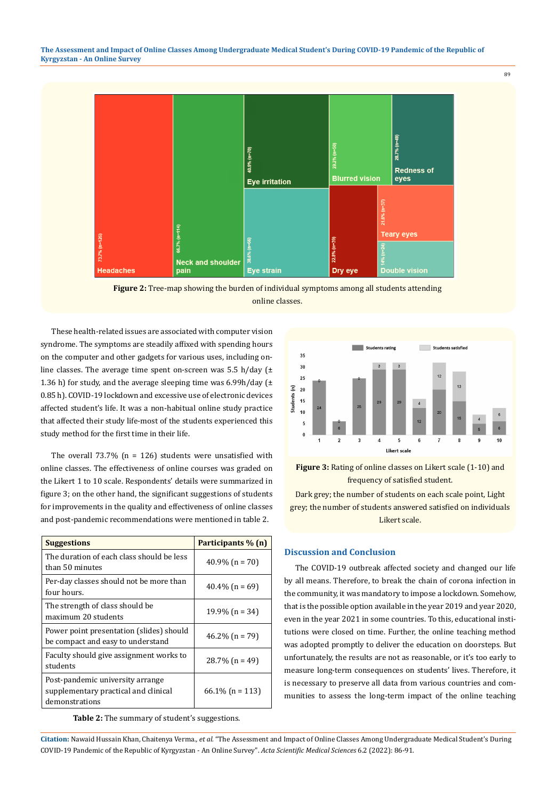

**Figure 2:** Tree-map showing the burden of individual symptoms among all students attending online classes.

These health-related issues are associated with computer vision syndrome. The symptoms are steadily affixed with spending hours on the computer and other gadgets for various uses, including online classes. The average time spent on-screen was 5.5 h/day (± 1.36 h) for study, and the average sleeping time was  $6.99h/day (±$ 0.85 h). COVID-19 lockdown and excessive use of electronic devices affected student's life. It was a non-habitual online study practice that affected their study life-most of the students experienced this study method for the first time in their life.

The overall  $73.7\%$  (n = 126) students were unsatisfied with online classes. The effectiveness of online courses was graded on the Likert 1 to 10 scale. Respondents' details were summarized in figure 3; on the other hand, the significant suggestions of students for improvements in the quality and effectiveness of online classes and post-pandemic recommendations were mentioned in table 2.

| <b>Suggestions</b>                                                                         | Participants % (n) |
|--------------------------------------------------------------------------------------------|--------------------|
| The duration of each class should be less<br>than 50 minutes                               | $40.9\%$ (n = 70)  |
| Per-day classes should not be more than<br>four hours.                                     | $40.4\%$ (n = 69)  |
| The strength of class should be<br>maximum 20 students                                     | $19.9\%$ (n = 34)  |
| Power point presentation (slides) should<br>be compact and easy to understand              | $46.2\%$ (n = 79)  |
| Faculty should give assignment works to<br>students                                        | $28.7\%$ (n = 49)  |
| Post-pandemic university arrange<br>supplementary practical and clinical<br>demonstrations | $66.1\%$ (n = 113) |

**Table 2:** The summary of student's suggestions.



**Figure 3:** Rating of online classes on Likert scale (1-10) and frequency of satisfied student.

Dark grey; the number of students on each scale point, Light grey; the number of students answered satisfied on individuals Likert scale.

#### **Discussion and Conclusion**

The COVID-19 outbreak affected society and changed our life by all means. Therefore, to break the chain of corona infection in the community, it was mandatory to impose a lockdown. Somehow, that is the possible option available in the year 2019 and year 2020, even in the year 2021 in some countries. To this, educational institutions were closed on time. Further, the online teaching method was adopted promptly to deliver the education on doorsteps. But unfortunately, the results are not as reasonable, or it's too early to measure long-term consequences on students' lives. Therefore, it is necessary to preserve all data from various countries and communities to assess the long-term impact of the online teaching

**Citation:** Nawaid Hussain Khan, Chaitenya Verma*., et al.* "The Assessment and Impact of Online Classes Among Undergraduate Medical Student's During COVID-19 Pandemic of the Republic of Kyrgyzstan - An Online Survey". *Acta Scientific Medical Sciences* 6.2 (2022): 86-91.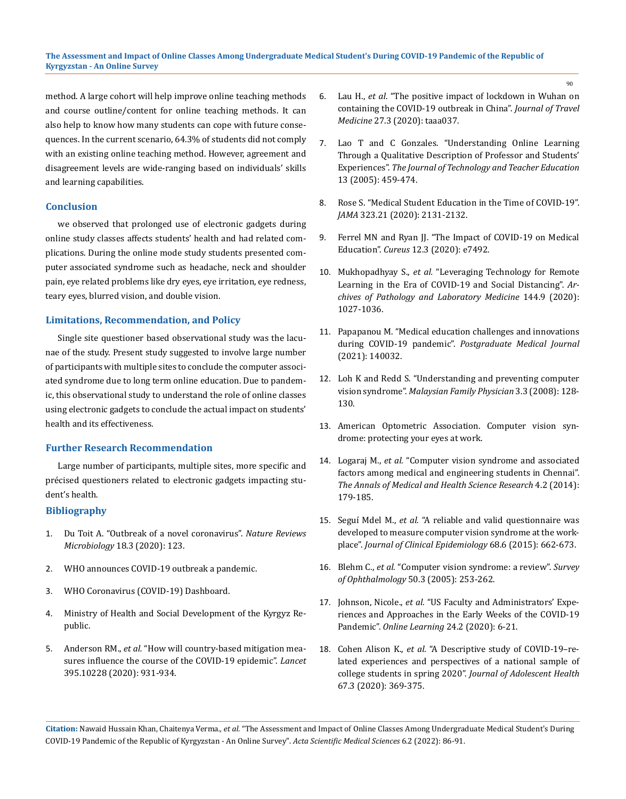method. A large cohort will help improve online teaching methods and course outline/content for online teaching methods. It can also help to know how many students can cope with future consequences. In the current scenario, 64.3% of students did not comply with an existing online teaching method. However, agreement and disagreement levels are wide-ranging based on individuals' skills and learning capabilities.

#### **Conclusion**

we observed that prolonged use of electronic gadgets during online study classes affects students' health and had related complications. During the online mode study students presented computer associated syndrome such as headache, neck and shoulder pain, eye related problems like dry eyes, eye irritation, eye redness, teary eyes, blurred vision, and double vision.

## **Limitations, Recommendation, and Policy**

Single site questioner based observational study was the lacunae of the study. Present study suggested to involve large number of participants with multiple sites to conclude the computer associated syndrome due to long term online education. Due to pandemic, this observational study to understand the role of online classes using electronic gadgets to conclude the actual impact on students' health and its effectiveness.

#### **Further Research Recommendation**

Large number of participants, multiple sites, more specific and précised questioners related to electronic gadgets impacting student's health.

#### **Bibliography**

- 1. [Du Toit A. "Outbreak of a novel coronavirus".](https://pubmed.ncbi.nlm.nih.gov/31988490/) *Nature Reviews Microbiology* [18.3 \(2020\): 123.](https://pubmed.ncbi.nlm.nih.gov/31988490/)
- 2. [WHO announces COVID-19 outbreak a pandemic.](https://www.euro.who.int/en/health-topics/health-emergencies/coronavirus-covid-19/news/news/2020/3/who-announces-covid-19-outbreak-a-pandemic)
- 3. [WHO Coronavirus \(COVID-19\) Dashboard.](https://covid19.who.int/)
- 4. Ministry of Health and Social Development of the Kyrgyz Republic.
- 5. Anderson RM., *et al.* ["How will country-based mitigation mea](https://pubmed.ncbi.nlm.nih.gov/32164834/)[sures influence the course of the COVID-19 epidemic".](https://pubmed.ncbi.nlm.nih.gov/32164834/) *Lancet* [395.10228 \(2020\): 931-934.](https://pubmed.ncbi.nlm.nih.gov/32164834/)
- 6. Lau H., *et al*[. "The positive impact of lockdown in Wuhan on](https://pubmed.ncbi.nlm.nih.gov/32181488/)  [containing the COVID-19 outbreak in China".](https://pubmed.ncbi.nlm.nih.gov/32181488/) *Journal of Travel Medicine* [27.3 \(2020\): taaa037.](https://pubmed.ncbi.nlm.nih.gov/32181488/)
- 7. [Lao T and C Gonzales. "Understanding Online Learning](https://www.researchgate.net/publication/309032276_Understanding_Online_Learning_Through_a_Qualitative_Description_of_Profesors_and_Students%27_Experiences)  [Through a Qualitative Description of Professor and Students'](https://www.researchgate.net/publication/309032276_Understanding_Online_Learning_Through_a_Qualitative_Description_of_Profesors_and_Students%27_Experiences)  Experiences". *[The Journal of Technology and Teacher Education](https://www.researchgate.net/publication/309032276_Understanding_Online_Learning_Through_a_Qualitative_Description_of_Profesors_and_Students%27_Experiences)* [13 \(2005\): 459-474.](https://www.researchgate.net/publication/309032276_Understanding_Online_Learning_Through_a_Qualitative_Description_of_Profesors_and_Students%27_Experiences)
- 8. [Rose S. "Medical Student Education in the Time of COVID-19".](https://pubmed.ncbi.nlm.nih.gov/32232420/)  *JAMA* [323.21 \(2020\): 2131-2132.](https://pubmed.ncbi.nlm.nih.gov/32232420/)
- 9. Ferrel MN and Ryan JJ. "The Impact of COVID-19 on Medical Education". *Cureus* [12.3 \(2020\): e7492.](https://www.ncbi.nlm.nih.gov/pmc/articles/PMC7193226/)
- 10. Mukhopadhyay S., *et al.* ["Leveraging Technology for Remote](https://pubmed.ncbi.nlm.nih.gov/32364793/)  [Learning in the Era of COVID-19 and Social Distancing".](https://pubmed.ncbi.nlm.nih.gov/32364793/) *Ar[chives of Pathology and Laboratory Medicine](https://pubmed.ncbi.nlm.nih.gov/32364793/)* 144.9 (2020): [1027-1036.](https://pubmed.ncbi.nlm.nih.gov/32364793/)
- 11. [Papapanou M. "Medical education challenges and innovations](https://pubmed.ncbi.nlm.nih.gov/33782202/)  during COVID-19 pandemic". *[Postgraduate Medical Journal](https://pubmed.ncbi.nlm.nih.gov/33782202/)*  [\(2021\): 140032.](https://pubmed.ncbi.nlm.nih.gov/33782202/)
- 12. [Loh K and Redd S. "Understanding and preventing computer](https://www.ncbi.nlm.nih.gov/pmc/articles/PMC4170366/)  vision syndrome". *[Malaysian Family Physician](https://www.ncbi.nlm.nih.gov/pmc/articles/PMC4170366/)* 3.3 (2008): 128- [130.](https://www.ncbi.nlm.nih.gov/pmc/articles/PMC4170366/)
- 13. [American Optometric Association. Computer vision syn](https://www.aoa.org/healthy-eyes/eye-and-vision-conditions/computer-vision-syndrome?sso=y)[drome: protecting your eyes at work.](https://www.aoa.org/healthy-eyes/eye-and-vision-conditions/computer-vision-syndrome?sso=y)
- 14. Logaraj M., *et al.* ["Computer vision syndrome and associated](https://pubmed.ncbi.nlm.nih.gov/24761234/)  [factors among medical and engineering students in Chennai".](https://pubmed.ncbi.nlm.nih.gov/24761234/)  *[The Annals of Medical and Health Science Research](https://pubmed.ncbi.nlm.nih.gov/24761234/)* 4.2 (2014): [179-185.](https://pubmed.ncbi.nlm.nih.gov/24761234/)
- 15. Seguí Mdel M., *et al.* ["A reliable and valid questionnaire was](https://pubmed.ncbi.nlm.nih.gov/25744132/)  [developed to measure computer vision syndrome at the work](https://pubmed.ncbi.nlm.nih.gov/25744132/)place". *[Journal of Clinical Epidemiology](https://pubmed.ncbi.nlm.nih.gov/25744132/)* 68.6 (2015): 662-673.
- 16. Blehm C., *et al.* ["Computer vision syndrome: a review".](https://pubmed.ncbi.nlm.nih.gov/15850814/) *Survey [of Ophthalmology](https://pubmed.ncbi.nlm.nih.gov/15850814/)* 50.3 (2005): 253-262.
- 17. Johnson, Nicole., *et al.* ["US Faculty and Administrators' Expe](https://files.eric.ed.gov/fulltext/EJ1260365.pdf)[riences and Approaches in the Early Weeks of the COVID-19](https://files.eric.ed.gov/fulltext/EJ1260365.pdf)  Pandemic". *[Online Learning](https://files.eric.ed.gov/fulltext/EJ1260365.pdf)* 24.2 (2020): 6-21.
- 18. Cohen Alison K., *et al.* ["A Descriptive study of COVID-19–re](https://www.ncbi.nlm.nih.gov/pmc/articles/PMC7313499/)[lated experiences and perspectives of a national sample of](https://www.ncbi.nlm.nih.gov/pmc/articles/PMC7313499/)  college students in spring 2020". *[Journal of Adolescent Health](https://www.ncbi.nlm.nih.gov/pmc/articles/PMC7313499/)* [67.3 \(2020\): 369-375.](https://www.ncbi.nlm.nih.gov/pmc/articles/PMC7313499/)

**Citation:** Nawaid Hussain Khan, Chaitenya Verma*., et al.* "The Assessment and Impact of Online Classes Among Undergraduate Medical Student's During COVID-19 Pandemic of the Republic of Kyrgyzstan - An Online Survey". *Acta Scientific Medical Sciences* 6.2 (2022): 86-91.